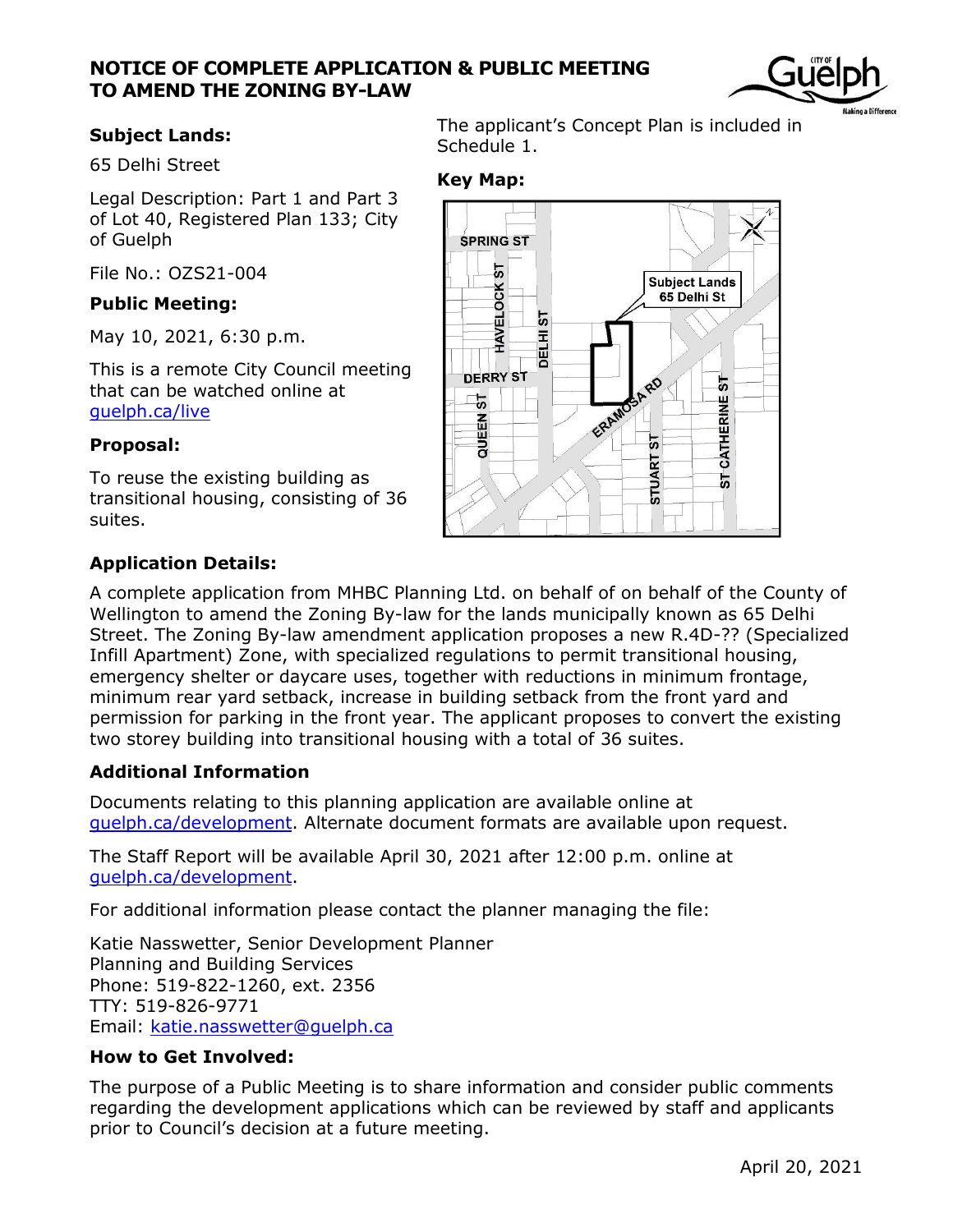## **NOTICE OF COMPLETE APPLICATION & PUBLIC MEETING TO AMEND THE ZONING BY-LAW**



65 Delhi Street

Legal Description: Part 1 and Part 3 of Lot 40, Registered Plan 133; City of Guelph

File No.: OZS21-004

#### **Public Meeting:**

May 10, 2021, 6:30 p.m.

This is a remote City Council meeting that can be watched online at [guelph.ca/live](http://guelph.ca/live)

#### **Proposal:**

To reuse the existing building as transitional housing, consisting of 36 suites.

# **Application Details:**

**Subject Lands:** The applicant's Concept Plan is included in Schedule 1.

## **Key Map:**



A complete application from MHBC Planning Ltd. on behalf of on behalf of the County of Wellington to amend the Zoning By-law for the lands municipally known as 65 Delhi Street. The Zoning By-law amendment application proposes a new R.4D-?? (Specialized Infill Apartment) Zone, with specialized regulations to permit transitional housing, emergency shelter or daycare uses, together with reductions in minimum frontage, minimum rear yard setback, increase in building setback from the front yard and permission for parking in the front year. The applicant proposes to convert the existing two storey building into transitional housing with a total of 36 suites.

## **Additional Information**

Documents relating to this planning application are available online at [guelph.ca/development.](http://www.guelph.ca/development) Alternate document formats are available upon request.

The Staff Report will be available April 30, 2021 after 12:00 p.m. online at [guelph.ca/development.](http://www.guelph.ca/development)

For additional information please contact the planner managing the file:

Katie Nasswetter, Senior Development Planner Planning and Building Services Phone: 519-822-1260, ext. 2356 TTY: 519-826-9771 Email: [katie.nasswetter@guelph.ca](file:///C:/Users/liversen/AppData/Local/Microsoft/Windows/Temporary%20Internet%20Files/Content.Outlook/RW1S0SNT/katie.nasswetter@guelph.ca)

## **How to Get Involved:**

The purpose of a Public Meeting is to share information and consider public comments regarding the development applications which can be reviewed by staff and applicants prior to Council's decision at a future meeting.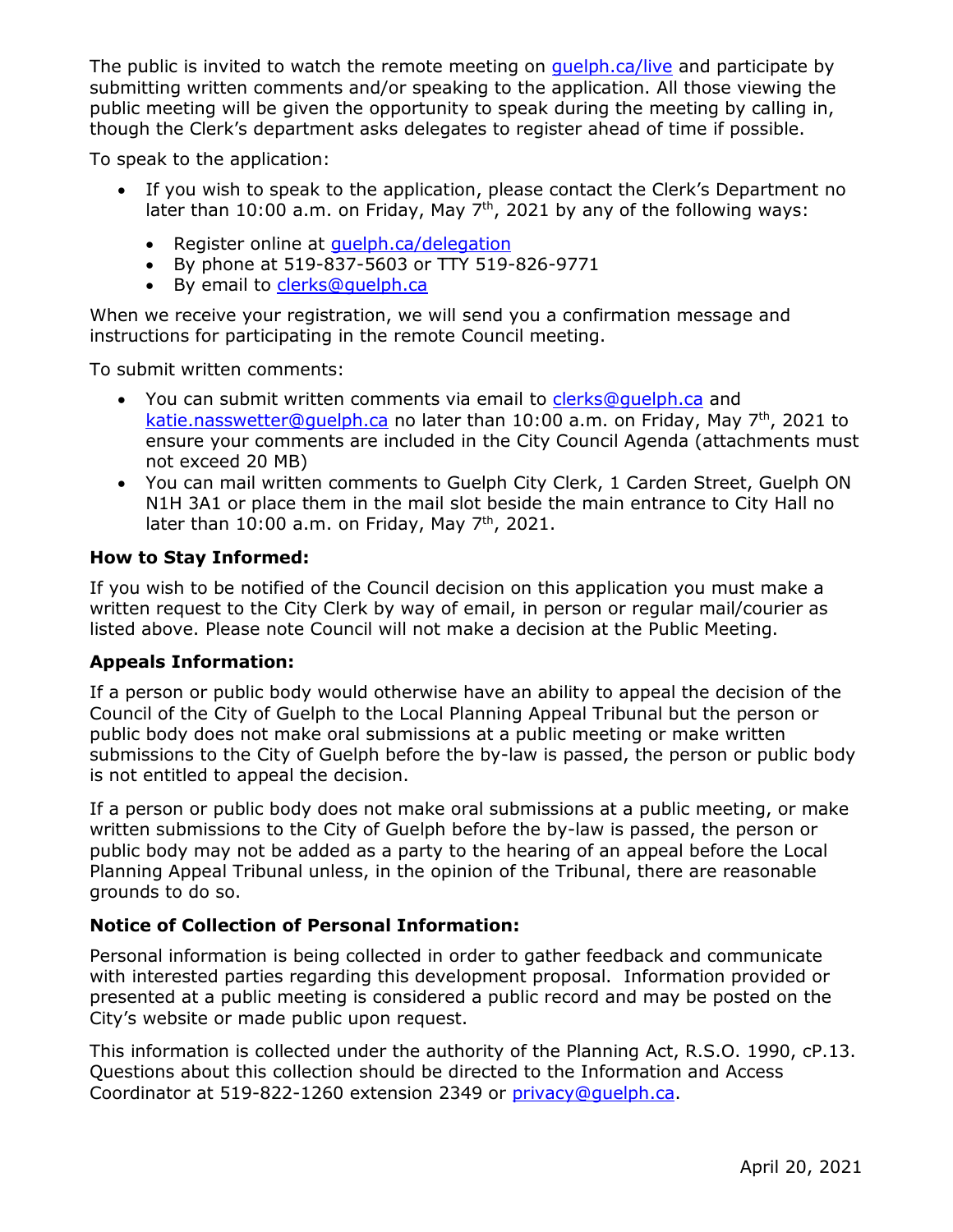The public is invited to watch the remote meeting on *quelph.ca/live* and participate by submitting written comments and/or speaking to the application. All those viewing the public meeting will be given the opportunity to speak during the meeting by calling in, though the Clerk's department asks delegates to register ahead of time if possible.

To speak to the application:

- If you wish to speak to the application, please contact the Clerk's Department no later than 10:00 a.m. on Friday, May  $7<sup>th</sup>$ , 2021 by any of the following ways:
	- Register online at quelph.ca/delegation
	- By phone at 519-837-5603 or TTY 519-826-9771
	- By email to [clerks@guelph.ca](mailto:clerks@guelph.ca)

When we receive your registration, we will send you a confirmation message and instructions for participating in the remote Council meeting.

To submit written comments:

- You can submit written comments via email to [clerks@guelph.ca](mailto:clerks@guelph.ca) and [katie.nasswetter@guelph.ca](mailto:katie.nasswetter@guelph.ca) no later than 10:00 a.m. on Friday, May  $7<sup>th</sup>$ , 2021 to ensure your comments are included in the City Council Agenda (attachments must not exceed 20 MB)
- You can mail written comments to Guelph City Clerk, 1 Carden Street, Guelph ON N1H 3A1 or place them in the mail slot beside the main entrance to City Hall no later than  $10:00$  a.m. on Friday, May  $7<sup>th</sup>$ , 2021.

#### **How to Stay Informed:**

If you wish to be notified of the Council decision on this application you must make a written request to the City Clerk by way of email, in person or regular mail/courier as listed above. Please note Council will not make a decision at the Public Meeting.

#### **Appeals Information:**

If a person or public body would otherwise have an ability to appeal the decision of the Council of the City of Guelph to the Local Planning Appeal Tribunal but the person or public body does not make oral submissions at a public meeting or make written submissions to the City of Guelph before the by-law is passed, the person or public body is not entitled to appeal the decision.

If a person or public body does not make oral submissions at a public meeting, or make written submissions to the City of Guelph before the by-law is passed, the person or public body may not be added as a party to the hearing of an appeal before the Local Planning Appeal Tribunal unless, in the opinion of the Tribunal, there are reasonable grounds to do so.

## **Notice of Collection of Personal Information:**

Personal information is being collected in order to gather feedback and communicate with interested parties regarding this development proposal. Information provided or presented at a public meeting is considered a public record and may be posted on the City's website or made public upon request.

This information is collected under the authority of the Planning Act, R.S.O. 1990, cP.13. Questions about this collection should be directed to the Information and Access Coordinator at 519-822-1260 extension 2349 or [privacy@guelph.ca.](mailto:privacy@guelph.ca)